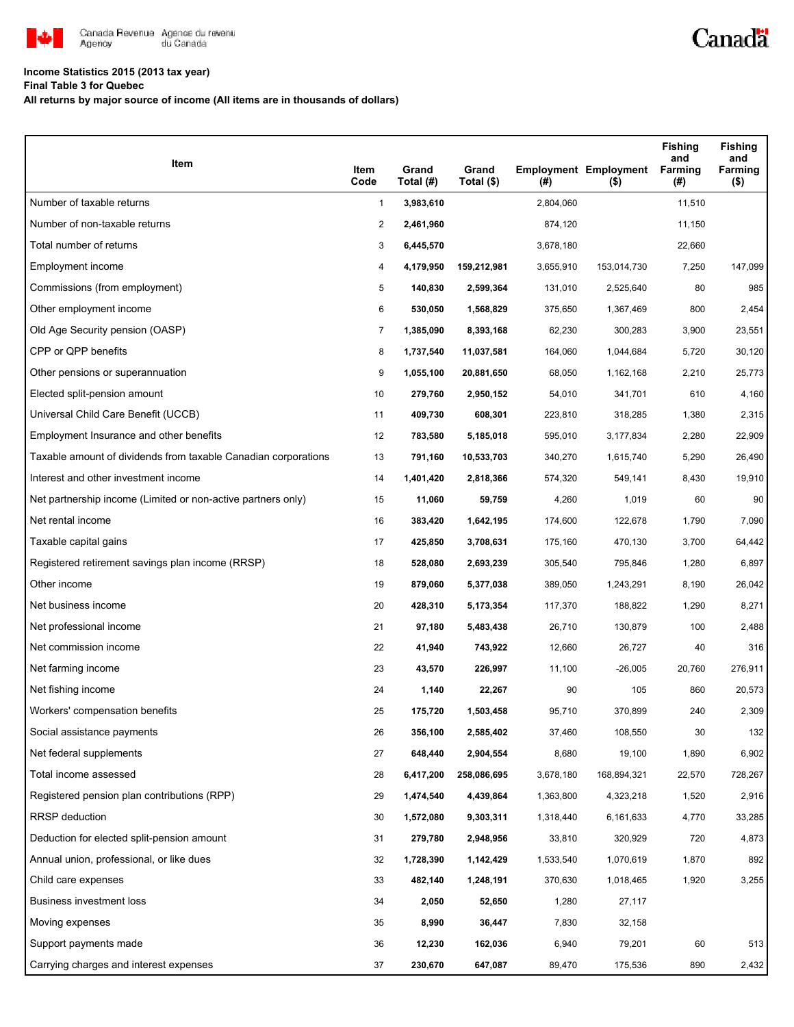

# **Income Statistics 2015 (2013 tax year)**

**Final Table 3 for Quebec**

**All returns by major source of income (All items are in thousands of dollars)**

| Item                                                           | Item<br>Code   | Grand<br>Total (#) | Grand<br>Total (\$) | $($ #)    | <b>Employment Employment</b><br>$($ \$) | <b>Fishing</b><br>and<br>Farming<br>(#) | <b>Fishing</b><br>and<br>Farming<br>$($ \$) |
|----------------------------------------------------------------|----------------|--------------------|---------------------|-----------|-----------------------------------------|-----------------------------------------|---------------------------------------------|
| Number of taxable returns                                      | $\mathbf{1}$   | 3,983,610          |                     | 2,804,060 |                                         | 11,510                                  |                                             |
| Number of non-taxable returns                                  | 2              | 2,461,960          |                     | 874,120   |                                         | 11,150                                  |                                             |
| Total number of returns                                        | 3              | 6,445,570          |                     | 3,678,180 |                                         | 22,660                                  |                                             |
| Employment income                                              | 4              | 4,179,950          | 159,212,981         | 3,655,910 | 153,014,730                             | 7,250                                   | 147,099                                     |
| Commissions (from employment)                                  | 5              | 140,830            | 2,599,364           | 131,010   | 2,525,640                               | 80                                      | 985                                         |
| Other employment income                                        | 6              | 530,050            | 1,568,829           | 375,650   | 1,367,469                               | 800                                     | 2,454                                       |
| Old Age Security pension (OASP)                                | $\overline{7}$ | 1,385,090          | 8,393,168           | 62,230    | 300,283                                 | 3,900                                   | 23,551                                      |
| CPP or QPP benefits                                            | 8              | 1,737,540          | 11,037,581          | 164,060   | 1,044,684                               | 5,720                                   | 30,120                                      |
| Other pensions or superannuation                               | 9              | 1,055,100          | 20,881,650          | 68,050    | 1,162,168                               | 2,210                                   | 25,773                                      |
| Elected split-pension amount                                   | 10             | 279,760            | 2,950,152           | 54,010    | 341,701                                 | 610                                     | 4,160                                       |
| Universal Child Care Benefit (UCCB)                            | 11             | 409,730            | 608,301             | 223,810   | 318,285                                 | 1,380                                   | 2,315                                       |
| Employment Insurance and other benefits                        | 12             | 783,580            | 5,185,018           | 595,010   | 3,177,834                               | 2,280                                   | 22,909                                      |
| Taxable amount of dividends from taxable Canadian corporations | 13             | 791,160            | 10,533,703          | 340,270   | 1,615,740                               | 5,290                                   | 26,490                                      |
| Interest and other investment income                           | 14             | 1,401,420          | 2,818,366           | 574,320   | 549,141                                 | 8,430                                   | 19,910                                      |
| Net partnership income (Limited or non-active partners only)   | 15             | 11,060             | 59,759              | 4,260     | 1,019                                   | 60                                      | 90                                          |
| Net rental income                                              | 16             | 383,420            | 1,642,195           | 174,600   | 122,678                                 | 1,790                                   | 7,090                                       |
| Taxable capital gains                                          | 17             | 425,850            | 3,708,631           | 175,160   | 470,130                                 | 3,700                                   | 64,442                                      |
| Registered retirement savings plan income (RRSP)               | 18             | 528,080            | 2,693,239           | 305,540   | 795,846                                 | 1,280                                   | 6,897                                       |
| Other income                                                   | 19             | 879,060            | 5,377,038           | 389,050   | 1,243,291                               | 8,190                                   | 26,042                                      |
| Net business income                                            | 20             | 428,310            | 5,173,354           | 117,370   | 188,822                                 | 1,290                                   | 8,271                                       |
| Net professional income                                        | 21             | 97,180             | 5,483,438           | 26,710    | 130,879                                 | 100                                     | 2,488                                       |
| Net commission income                                          | 22             | 41,940             | 743,922             | 12,660    | 26,727                                  | 40                                      | 316                                         |
| Net farming income                                             | 23             | 43,570             | 226,997             | 11,100    | $-26,005$                               | 20,760                                  | 276,911                                     |
| Net fishing income                                             | 24             | 1,140              | 22,267              | 90        | 105                                     | 860                                     | 20,573                                      |
| Workers' compensation benefits                                 | 25             | 175,720            | 1,503,458           | 95,710    | 370,899                                 | 240                                     | 2,309                                       |
| Social assistance payments                                     | 26             | 356,100            | 2,585,402           | 37,460    | 108,550                                 | 30                                      | 132                                         |
| Net federal supplements                                        | 27             | 648,440            | 2,904,554           | 8,680     | 19,100                                  | 1,890                                   | 6,902                                       |
| Total income assessed                                          | 28             | 6,417,200          | 258,086,695         | 3,678,180 | 168,894,321                             | 22,570                                  | 728,267                                     |
| Registered pension plan contributions (RPP)                    | 29             | 1,474,540          | 4,439,864           | 1,363,800 | 4,323,218                               | 1,520                                   | 2,916                                       |
| RRSP deduction                                                 | 30             | 1,572,080          | 9,303,311           | 1,318,440 | 6,161,633                               | 4,770                                   | 33,285                                      |
| Deduction for elected split-pension amount                     | 31             | 279,780            | 2,948,956           | 33,810    | 320,929                                 | 720                                     | 4,873                                       |
| Annual union, professional, or like dues                       | 32             | 1,728,390          | 1,142,429           | 1,533,540 | 1,070,619                               | 1,870                                   | 892                                         |
| Child care expenses                                            | 33             | 482,140            | 1,248,191           | 370,630   | 1,018,465                               | 1,920                                   | 3,255                                       |
| Business investment loss                                       | 34             | 2,050              | 52,650              | 1,280     | 27,117                                  |                                         |                                             |
| Moving expenses                                                | 35             | 8,990              | 36,447              | 7,830     | 32,158                                  |                                         |                                             |
| Support payments made                                          | 36             | 12,230             | 162,036             | 6,940     | 79,201                                  | 60                                      | 513                                         |
| Carrying charges and interest expenses                         | 37             | 230,670            | 647,087             | 89,470    | 175,536                                 | 890                                     | 2,432                                       |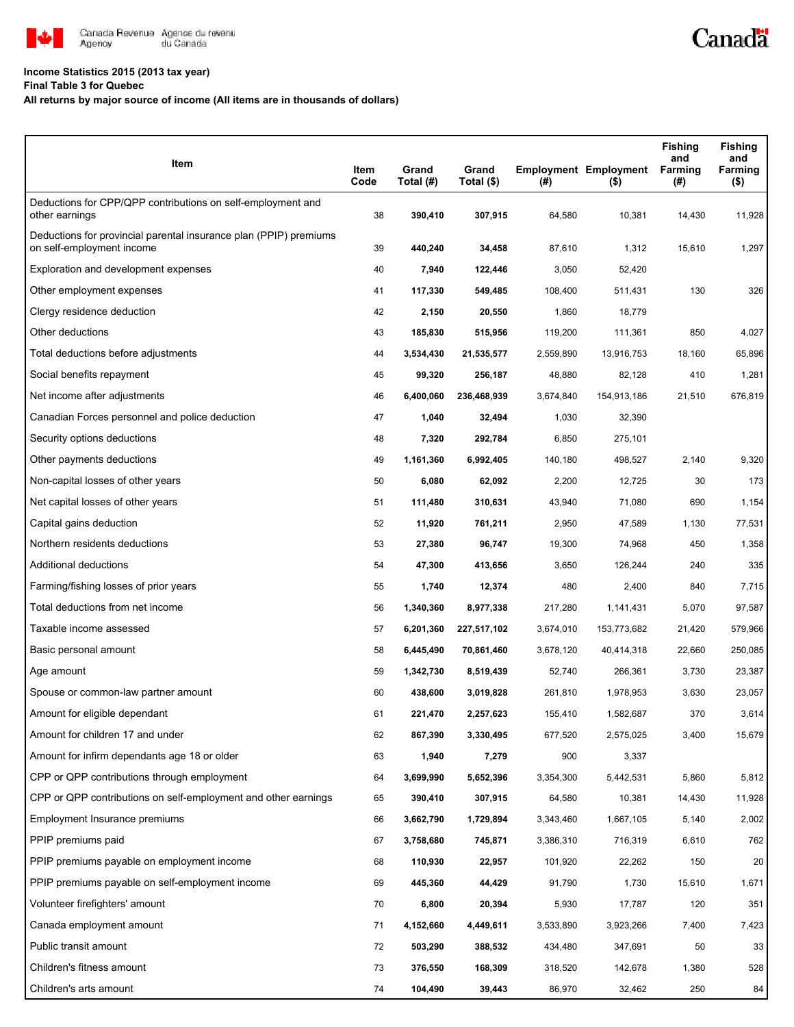

# **Income Statistics 2015 (2013 tax year)**

## **Final Table 3 for Quebec**

# **All returns by major source of income (All items are in thousands of dollars)**

| Item                                                                                           | Item<br>Code | Grand<br>Total (#) | Grand<br>Total (\$) | $($ #)    | <b>Employment Employment</b><br>$($ \$) | <b>Fishing</b><br>and<br>Farming<br>(#) | <b>Fishing</b><br>and<br>Farming<br>$($ \$) |
|------------------------------------------------------------------------------------------------|--------------|--------------------|---------------------|-----------|-----------------------------------------|-----------------------------------------|---------------------------------------------|
| Deductions for CPP/QPP contributions on self-employment and<br>other earnings                  | 38           | 390,410            | 307,915             | 64,580    | 10,381                                  | 14,430                                  | 11,928                                      |
| Deductions for provincial parental insurance plan (PPIP) premiums<br>on self-employment income | 39           | 440,240            | 34,458              | 87,610    | 1,312                                   | 15,610                                  | 1,297                                       |
| Exploration and development expenses                                                           | 40           | 7,940              | 122,446             | 3,050     | 52,420                                  |                                         |                                             |
| Other employment expenses                                                                      | 41           | 117,330            | 549,485             | 108,400   | 511,431                                 | 130                                     | 326                                         |
| Clergy residence deduction                                                                     | 42           | 2,150              | 20,550              | 1,860     | 18,779                                  |                                         |                                             |
| Other deductions                                                                               | 43           | 185,830            | 515,956             | 119,200   | 111,361                                 | 850                                     | 4,027                                       |
| Total deductions before adjustments                                                            | 44           | 3,534,430          | 21,535,577          | 2,559,890 | 13,916,753                              | 18,160                                  | 65,896                                      |
| Social benefits repayment                                                                      | 45           | 99,320             | 256,187             | 48,880    | 82,128                                  | 410                                     | 1,281                                       |
| Net income after adjustments                                                                   | 46           | 6,400,060          | 236,468,939         | 3,674,840 | 154,913,186                             | 21,510                                  | 676,819                                     |
| Canadian Forces personnel and police deduction                                                 | 47           | 1,040              | 32,494              | 1,030     | 32,390                                  |                                         |                                             |
| Security options deductions                                                                    | 48           | 7,320              | 292,784             | 6,850     | 275,101                                 |                                         |                                             |
| Other payments deductions                                                                      | 49           | 1,161,360          | 6,992,405           | 140,180   | 498,527                                 | 2,140                                   | 9,320                                       |
| Non-capital losses of other years                                                              | 50           | 6,080              | 62,092              | 2,200     | 12,725                                  | 30                                      | 173                                         |
| Net capital losses of other years                                                              | 51           | 111,480            | 310,631             | 43,940    | 71,080                                  | 690                                     | 1,154                                       |
| Capital gains deduction                                                                        | 52           | 11,920             | 761,211             | 2,950     | 47,589                                  | 1,130                                   | 77,531                                      |
| Northern residents deductions                                                                  | 53           | 27,380             | 96,747              | 19,300    | 74,968                                  | 450                                     | 1,358                                       |
| Additional deductions                                                                          | 54           | 47,300             | 413,656             | 3,650     | 126,244                                 | 240                                     | 335                                         |
| Farming/fishing losses of prior years                                                          | 55           | 1,740              | 12,374              | 480       | 2,400                                   | 840                                     | 7,715                                       |
| Total deductions from net income                                                               | 56           | 1,340,360          | 8,977,338           | 217,280   | 1,141,431                               | 5,070                                   | 97,587                                      |
| Taxable income assessed                                                                        | 57           | 6,201,360          | 227,517,102         | 3,674,010 | 153,773,682                             | 21,420                                  | 579,966                                     |
| Basic personal amount                                                                          | 58           | 6,445,490          | 70,861,460          | 3,678,120 | 40,414,318                              | 22,660                                  | 250,085                                     |
| Age amount                                                                                     | 59           | 1,342,730          | 8,519,439           | 52,740    | 266,361                                 | 3,730                                   | 23,387                                      |
| Spouse or common-law partner amount                                                            | 60           | 438,600            | 3,019,828           | 261,810   | 1,978,953                               | 3,630                                   | 23,057                                      |
| Amount for eligible dependant                                                                  | 61           | 221,470            | 2,257,623           | 155,410   | 1,582,687                               | 370                                     | 3,614                                       |
| Amount for children 17 and under                                                               | 62           | 867,390            | 3,330,495           | 677,520   | 2,575,025                               | 3,400                                   | 15,679                                      |
| Amount for infirm dependants age 18 or older                                                   | 63           | 1,940              | 7,279               | 900       | 3,337                                   |                                         |                                             |
| CPP or QPP contributions through employment                                                    | 64           | 3,699,990          | 5,652,396           | 3,354,300 | 5,442,531                               | 5,860                                   | 5,812                                       |
| CPP or QPP contributions on self-employment and other earnings                                 | 65           | 390,410            | 307,915             | 64,580    | 10,381                                  | 14,430                                  | 11,928                                      |
| Employment Insurance premiums                                                                  | 66           | 3,662,790          | 1,729,894           | 3,343,460 | 1,667,105                               | 5,140                                   | 2,002                                       |
| PPIP premiums paid                                                                             | 67           | 3,758,680          | 745,871             | 3,386,310 | 716,319                                 | 6,610                                   | 762                                         |
| PPIP premiums payable on employment income                                                     | 68           | 110,930            | 22,957              | 101,920   | 22,262                                  | 150                                     | 20                                          |
| PPIP premiums payable on self-employment income                                                | 69           | 445,360            | 44,429              | 91,790    | 1,730                                   | 15,610                                  | 1,671                                       |
| Volunteer firefighters' amount                                                                 | 70           | 6,800              | 20,394              | 5,930     | 17,787                                  | 120                                     | 351                                         |
| Canada employment amount                                                                       | 71           | 4,152,660          | 4,449,611           | 3,533,890 | 3,923,266                               | 7,400                                   | 7,423                                       |
| Public transit amount                                                                          | 72           | 503,290            | 388,532             | 434,480   | 347,691                                 | 50                                      | 33                                          |
| Children's fitness amount                                                                      | 73           | 376,550            | 168,309             | 318,520   | 142,678                                 | 1,380                                   | 528                                         |
| Children's arts amount                                                                         | 74           | 104,490            | 39,443              | 86,970    | 32,462                                  | 250                                     | 84                                          |

Canadä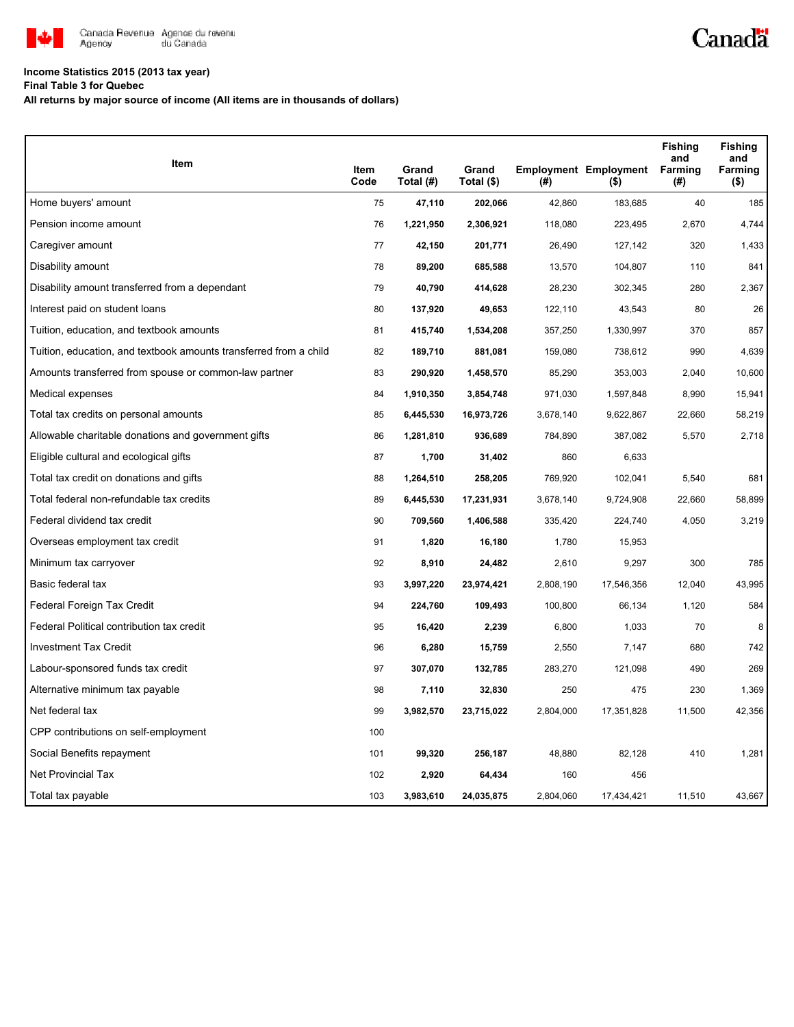

# **Income Statistics 2015 (2013 tax year)**

**Final Table 3 for Quebec**

**All returns by major source of income (All items are in thousands of dollars)**

| Item                                                              |              |                    |                     |           |                                         | <b>Fishing</b><br>and | <b>Fishing</b><br>and |
|-------------------------------------------------------------------|--------------|--------------------|---------------------|-----------|-----------------------------------------|-----------------------|-----------------------|
|                                                                   | Item<br>Code | Grand<br>Total (#) | Grand<br>Total (\$) | (#)       | <b>Employment Employment</b><br>$($ \$) | Farming<br>(#)        | Farming<br>$($ \$)    |
| Home buyers' amount                                               | 75           | 47,110             | 202,066             | 42,860    | 183,685                                 | 40                    | 185                   |
| Pension income amount                                             | 76           | 1,221,950          | 2,306,921           | 118,080   | 223,495                                 | 2,670                 | 4,744                 |
| Caregiver amount                                                  | 77           | 42,150             | 201,771             | 26,490    | 127,142                                 | 320                   | 1,433                 |
| Disability amount                                                 | 78           | 89,200             | 685,588             | 13,570    | 104,807                                 | 110                   | 841                   |
| Disability amount transferred from a dependant                    | 79           | 40,790             | 414,628             | 28,230    | 302,345                                 | 280                   | 2,367                 |
| Interest paid on student loans                                    | 80           | 137,920            | 49,653              | 122,110   | 43,543                                  | 80                    | 26                    |
| Tuition, education, and textbook amounts                          | 81           | 415,740            | 1,534,208           | 357,250   | 1,330,997                               | 370                   | 857                   |
| Tuition, education, and textbook amounts transferred from a child | 82           | 189,710            | 881,081             | 159,080   | 738,612                                 | 990                   | 4,639                 |
| Amounts transferred from spouse or common-law partner             | 83           | 290,920            | 1,458,570           | 85,290    | 353,003                                 | 2,040                 | 10,600                |
| Medical expenses                                                  | 84           | 1,910,350          | 3,854,748           | 971,030   | 1,597,848                               | 8,990                 | 15,941                |
| Total tax credits on personal amounts                             | 85           | 6,445,530          | 16,973,726          | 3,678,140 | 9,622,867                               | 22,660                | 58,219                |
| Allowable charitable donations and government gifts               | 86           | 1,281,810          | 936,689             | 784,890   | 387,082                                 | 5,570                 | 2,718                 |
| Eligible cultural and ecological gifts                            | 87           | 1,700              | 31,402              | 860       | 6,633                                   |                       |                       |
| Total tax credit on donations and gifts                           | 88           | 1,264,510          | 258,205             | 769,920   | 102,041                                 | 5,540                 | 681                   |
| Total federal non-refundable tax credits                          | 89           | 6,445,530          | 17,231,931          | 3,678,140 | 9,724,908                               | 22,660                | 58,899                |
| Federal dividend tax credit                                       | 90           | 709,560            | 1,406,588           | 335,420   | 224,740                                 | 4,050                 | 3,219                 |
| Overseas employment tax credit                                    | 91           | 1,820              | 16,180              | 1,780     | 15,953                                  |                       |                       |
| Minimum tax carryover                                             | 92           | 8,910              | 24,482              | 2,610     | 9,297                                   | 300                   | 785                   |
| Basic federal tax                                                 | 93           | 3,997,220          | 23,974,421          | 2,808,190 | 17,546,356                              | 12,040                | 43,995                |
| Federal Foreign Tax Credit                                        | 94           | 224,760            | 109,493             | 100,800   | 66,134                                  | 1,120                 | 584                   |
| Federal Political contribution tax credit                         | 95           | 16,420             | 2,239               | 6,800     | 1,033                                   | 70                    | 8                     |
| <b>Investment Tax Credit</b>                                      | 96           | 6,280              | 15,759              | 2,550     | 7,147                                   | 680                   | 742                   |
| Labour-sponsored funds tax credit                                 | 97           | 307,070            | 132,785             | 283,270   | 121,098                                 | 490                   | 269                   |
| Alternative minimum tax payable                                   | 98           | 7,110              | 32,830              | 250       | 475                                     | 230                   | 1,369                 |
| Net federal tax                                                   | 99           | 3,982,570          | 23,715,022          | 2,804,000 | 17,351,828                              | 11,500                | 42,356                |
| CPP contributions on self-employment                              | 100          |                    |                     |           |                                         |                       |                       |
| Social Benefits repayment                                         | 101          | 99,320             | 256,187             | 48,880    | 82,128                                  | 410                   | 1,281                 |
| <b>Net Provincial Tax</b>                                         | 102          | 2,920              | 64,434              | 160       | 456                                     |                       |                       |
| Total tax payable                                                 | 103          | 3,983,610          | 24,035,875          | 2,804,060 | 17,434,421                              | 11,510                | 43,667                |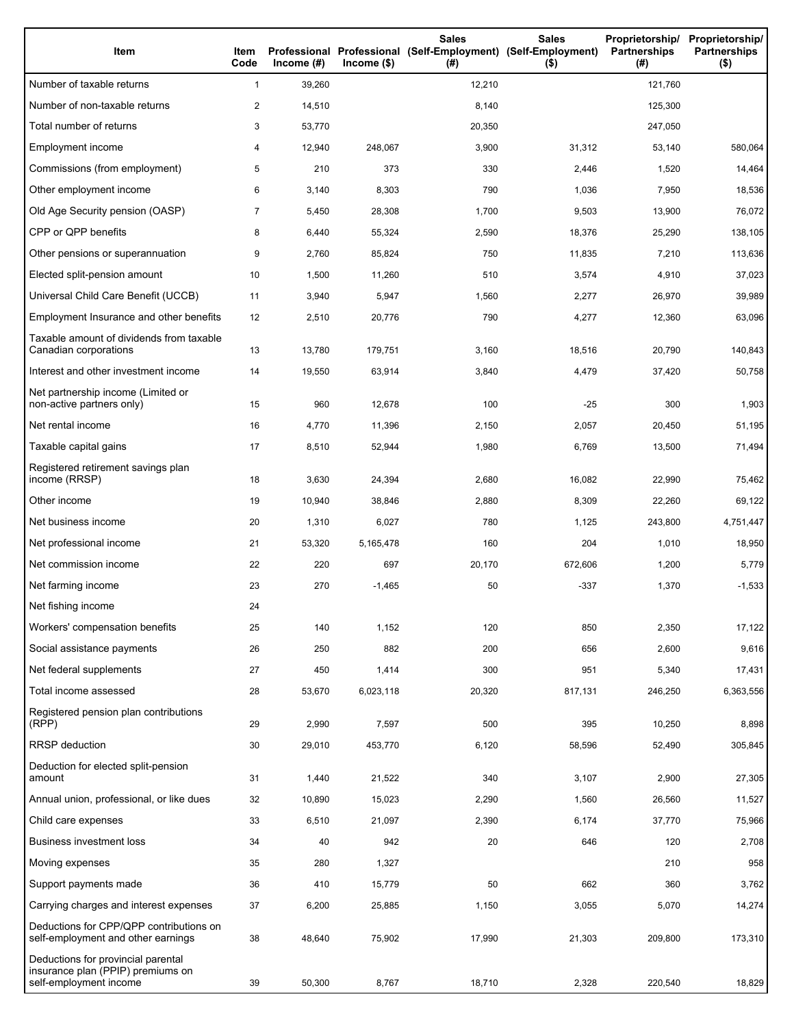| Item                                                                                              | Item<br>Code   | Income $(\#)$ | $lncome($ \$) | <b>Sales</b><br>Professional Professional (Self-Employment) (Self-Employment)<br>(#) | <b>Sales</b><br>$($ \$) | Proprietorship/<br><b>Partnerships</b><br>(#) | Proprietorship/<br><b>Partnerships</b><br>$($ \$) |
|---------------------------------------------------------------------------------------------------|----------------|---------------|---------------|--------------------------------------------------------------------------------------|-------------------------|-----------------------------------------------|---------------------------------------------------|
| Number of taxable returns                                                                         | 1              | 39,260        |               | 12,210                                                                               |                         | 121,760                                       |                                                   |
| Number of non-taxable returns                                                                     | $\overline{2}$ | 14,510        |               | 8,140                                                                                |                         | 125,300                                       |                                                   |
| Total number of returns                                                                           | 3              | 53,770        |               | 20,350                                                                               |                         | 247,050                                       |                                                   |
| Employment income                                                                                 | 4              | 12,940        | 248,067       | 3,900                                                                                | 31,312                  | 53,140                                        | 580,064                                           |
| Commissions (from employment)                                                                     | 5              | 210           | 373           | 330                                                                                  | 2,446                   | 1,520                                         | 14,464                                            |
| Other employment income                                                                           | 6              | 3,140         | 8,303         | 790                                                                                  | 1,036                   | 7,950                                         | 18,536                                            |
| Old Age Security pension (OASP)                                                                   | $\overline{7}$ | 5,450         | 28,308        | 1,700                                                                                | 9,503                   | 13,900                                        | 76,072                                            |
| CPP or QPP benefits                                                                               | 8              | 6,440         | 55,324        | 2,590                                                                                | 18,376                  | 25,290                                        | 138,105                                           |
| Other pensions or superannuation                                                                  | 9              | 2,760         | 85,824        | 750                                                                                  | 11,835                  | 7,210                                         | 113,636                                           |
| Elected split-pension amount                                                                      | 10             | 1,500         | 11,260        | 510                                                                                  | 3,574                   | 4,910                                         | 37,023                                            |
| Universal Child Care Benefit (UCCB)                                                               | 11             | 3,940         | 5,947         | 1,560                                                                                | 2,277                   | 26,970                                        | 39,989                                            |
| Employment Insurance and other benefits                                                           | 12             | 2,510         | 20,776        | 790                                                                                  | 4,277                   | 12,360                                        | 63,096                                            |
| Taxable amount of dividends from taxable<br>Canadian corporations                                 | 13             | 13,780        | 179,751       | 3,160                                                                                | 18,516                  | 20,790                                        | 140,843                                           |
| Interest and other investment income                                                              | 14             | 19,550        | 63,914        | 3,840                                                                                | 4,479                   | 37,420                                        | 50,758                                            |
| Net partnership income (Limited or<br>non-active partners only)                                   | 15             | 960           | 12,678        | 100                                                                                  | -25                     | 300                                           | 1,903                                             |
| Net rental income                                                                                 | 16             | 4,770         | 11,396        | 2,150                                                                                | 2,057                   | 20,450                                        | 51,195                                            |
| Taxable capital gains                                                                             | 17             | 8,510         | 52,944        | 1,980                                                                                | 6,769                   | 13,500                                        | 71,494                                            |
| Registered retirement savings plan<br>income (RRSP)                                               | 18             | 3,630         | 24,394        | 2,680                                                                                | 16,082                  | 22,990                                        | 75,462                                            |
| Other income                                                                                      | 19             | 10,940        | 38,846        | 2,880                                                                                | 8,309                   | 22,260                                        | 69,122                                            |
| Net business income                                                                               | 20             | 1,310         | 6,027         | 780                                                                                  | 1,125                   | 243,800                                       | 4,751,447                                         |
| Net professional income                                                                           | 21             | 53,320        | 5,165,478     | 160                                                                                  | 204                     | 1,010                                         | 18,950                                            |
| Net commission income                                                                             | 22             | 220           | 697           | 20,170                                                                               | 672,606                 | 1,200                                         | 5,779                                             |
| Net farming income                                                                                | 23             | 270           | $-1,465$      | 50                                                                                   | -337                    | 1,370                                         | $-1,533$                                          |
| Net fishing income                                                                                | 24             |               |               |                                                                                      |                         |                                               |                                                   |
| Workers' compensation benefits                                                                    | 25             | 140           | 1,152         | 120                                                                                  | 850                     | 2,350                                         | 17,122                                            |
| Social assistance payments                                                                        | 26             | 250           | 882           | 200                                                                                  | 656                     | 2,600                                         | 9,616                                             |
| Net federal supplements                                                                           | 27             | 450           | 1,414         | 300                                                                                  | 951                     | 5,340                                         | 17,431                                            |
| Total income assessed                                                                             | 28             | 53,670        | 6,023,118     | 20,320                                                                               | 817,131                 | 246,250                                       | 6,363,556                                         |
| Registered pension plan contributions<br>(RPP)                                                    | 29             | 2,990         | 7,597         | 500                                                                                  | 395                     | 10,250                                        | 8,898                                             |
| <b>RRSP</b> deduction                                                                             | 30             | 29,010        | 453,770       | 6,120                                                                                | 58,596                  | 52,490                                        | 305,845                                           |
| Deduction for elected split-pension<br>amount                                                     | 31             | 1,440         | 21,522        | 340                                                                                  | 3,107                   | 2,900                                         | 27,305                                            |
| Annual union, professional, or like dues                                                          | 32             | 10,890        | 15,023        | 2,290                                                                                | 1,560                   | 26,560                                        | 11,527                                            |
| Child care expenses                                                                               | 33             | 6,510         | 21,097        | 2,390                                                                                | 6,174                   | 37,770                                        | 75,966                                            |
| Business investment loss                                                                          | 34             | 40            | 942           | 20                                                                                   | 646                     | 120                                           | 2,708                                             |
| Moving expenses                                                                                   | 35             | 280           | 1,327         |                                                                                      |                         | 210                                           | 958                                               |
| Support payments made                                                                             | 36             | 410           | 15,779        | 50                                                                                   | 662                     | 360                                           | 3,762                                             |
| Carrying charges and interest expenses                                                            | 37             | 6,200         | 25,885        | 1,150                                                                                | 3,055                   | 5,070                                         | 14,274                                            |
| Deductions for CPP/QPP contributions on<br>self-employment and other earnings                     | 38             | 48,640        | 75,902        | 17,990                                                                               | 21,303                  | 209,800                                       | 173,310                                           |
| Deductions for provincial parental<br>insurance plan (PPIP) premiums on<br>self-employment income | 39             | 50,300        | 8,767         | 18,710                                                                               | 2,328                   | 220,540                                       | 18,829                                            |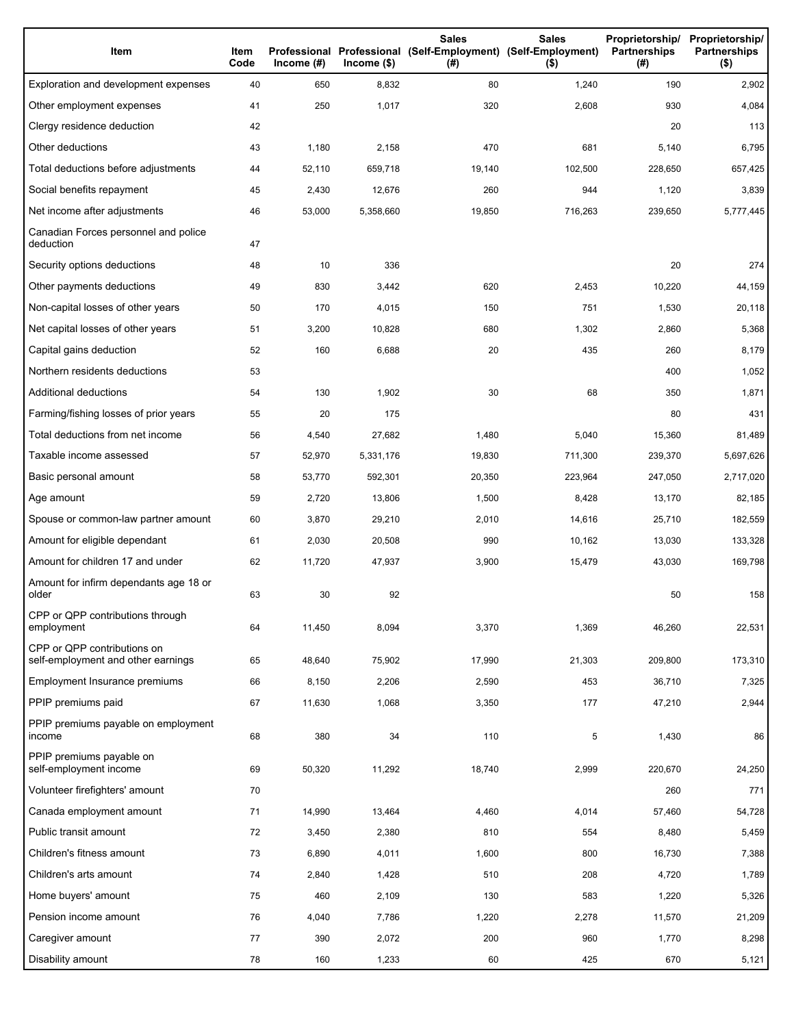| Item                                                              | Item<br>Code | Income $(\#)$ | $lncome$ (\$) | <b>Sales</b><br>Professional Professional (Self-Employment) (Self-Employment)<br>(#) | <b>Sales</b><br>$($ \$) | Proprietorship/<br>Partnerships<br>(#) | Proprietorship/<br><b>Partnerships</b><br>$($ \$) |
|-------------------------------------------------------------------|--------------|---------------|---------------|--------------------------------------------------------------------------------------|-------------------------|----------------------------------------|---------------------------------------------------|
| Exploration and development expenses                              | 40           | 650           | 8,832         | 80                                                                                   | 1,240                   | 190                                    | 2,902                                             |
| Other employment expenses                                         | 41           | 250           | 1,017         | 320                                                                                  | 2,608                   | 930                                    | 4,084                                             |
| Clergy residence deduction                                        | 42           |               |               |                                                                                      |                         | 20                                     | 113                                               |
| Other deductions                                                  | 43           | 1,180         | 2,158         | 470                                                                                  | 681                     | 5,140                                  | 6,795                                             |
| Total deductions before adjustments                               | 44           | 52,110        | 659,718       | 19,140                                                                               | 102,500                 | 228,650                                | 657,425                                           |
| Social benefits repayment                                         | 45           | 2,430         | 12,676        | 260                                                                                  | 944                     | 1,120                                  | 3,839                                             |
| Net income after adjustments                                      | 46           | 53,000        | 5,358,660     | 19,850                                                                               | 716,263                 | 239,650                                | 5,777,445                                         |
| Canadian Forces personnel and police<br>deduction                 | 47           |               |               |                                                                                      |                         |                                        |                                                   |
| Security options deductions                                       | 48           | 10            | 336           |                                                                                      |                         | 20                                     | 274                                               |
| Other payments deductions                                         | 49           | 830           | 3,442         | 620                                                                                  | 2,453                   | 10,220                                 | 44,159                                            |
| Non-capital losses of other years                                 | 50           | 170           | 4,015         | 150                                                                                  | 751                     | 1,530                                  | 20,118                                            |
| Net capital losses of other years                                 | 51           | 3,200         | 10,828        | 680                                                                                  | 1,302                   | 2,860                                  | 5,368                                             |
| Capital gains deduction                                           | 52           | 160           | 6,688         | 20                                                                                   | 435                     | 260                                    | 8,179                                             |
| Northern residents deductions                                     | 53           |               |               |                                                                                      |                         | 400                                    | 1,052                                             |
| Additional deductions                                             | 54           | 130           | 1,902         | 30                                                                                   | 68                      | 350                                    | 1,871                                             |
| Farming/fishing losses of prior years                             | 55           | 20            | 175           |                                                                                      |                         | 80                                     | 431                                               |
| Total deductions from net income                                  | 56           | 4,540         | 27,682        | 1,480                                                                                | 5,040                   | 15,360                                 | 81,489                                            |
| Taxable income assessed                                           | 57           | 52,970        | 5,331,176     | 19,830                                                                               | 711,300                 | 239,370                                | 5,697,626                                         |
| Basic personal amount                                             | 58           | 53,770        | 592,301       | 20,350                                                                               | 223,964                 | 247,050                                | 2,717,020                                         |
| Age amount                                                        | 59           | 2,720         | 13,806        | 1,500                                                                                | 8,428                   | 13,170                                 | 82,185                                            |
| Spouse or common-law partner amount                               | 60           | 3,870         | 29,210        | 2,010                                                                                | 14,616                  | 25,710                                 | 182,559                                           |
| Amount for eligible dependant                                     | 61           | 2,030         | 20,508        | 990                                                                                  | 10,162                  | 13,030                                 | 133,328                                           |
| Amount for children 17 and under                                  | 62           | 11,720        | 47,937        | 3,900                                                                                | 15,479                  | 43,030                                 | 169,798                                           |
| Amount for infirm dependants age 18 or<br>older                   | 63           | 30            | 92            |                                                                                      |                         | 50                                     | 158                                               |
| CPP or QPP contributions through<br>employment                    | 64           | 11,450        | 8,094         | 3,370                                                                                | 1,369                   | 46,260                                 | 22,531                                            |
| CPP or QPP contributions on<br>self-employment and other earnings | 65           | 48,640        | 75,902        | 17,990                                                                               | 21,303                  | 209,800                                | 173,310                                           |
| Employment Insurance premiums                                     | 66           | 8,150         | 2,206         | 2,590                                                                                | 453                     | 36,710                                 | 7,325                                             |
| PPIP premiums paid                                                | 67           | 11,630        | 1,068         | 3,350                                                                                | 177                     | 47,210                                 | 2,944                                             |
| PPIP premiums payable on employment<br>income                     | 68           | 380           | 34            | 110                                                                                  | 5                       | 1,430                                  | 86                                                |
| PPIP premiums payable on<br>self-employment income                | 69           | 50,320        | 11,292        | 18,740                                                                               | 2,999                   | 220,670                                | 24,250                                            |
| Volunteer firefighters' amount                                    | 70           |               |               |                                                                                      |                         | 260                                    | 771                                               |
| Canada employment amount                                          | 71           | 14,990        | 13,464        | 4,460                                                                                | 4,014                   | 57,460                                 | 54,728                                            |
| Public transit amount                                             | 72           | 3,450         | 2,380         | 810                                                                                  | 554                     | 8,480                                  | 5,459                                             |
| Children's fitness amount                                         | 73           | 6,890         | 4,011         | 1,600                                                                                | 800                     | 16,730                                 | 7,388                                             |
| Children's arts amount                                            | 74           | 2,840         | 1,428         | 510                                                                                  | 208                     | 4,720                                  | 1,789                                             |
| Home buyers' amount                                               | 75           | 460           | 2,109         | 130                                                                                  | 583                     | 1,220                                  | 5,326                                             |
| Pension income amount                                             | 76           | 4,040         | 7,786         | 1,220                                                                                | 2,278                   | 11,570                                 | 21,209                                            |
| Caregiver amount                                                  | 77           | 390           | 2,072         | 200                                                                                  | 960                     | 1,770                                  | 8,298                                             |
| Disability amount                                                 | 78           | 160           | 1,233         | 60                                                                                   | 425                     | 670                                    | 5,121                                             |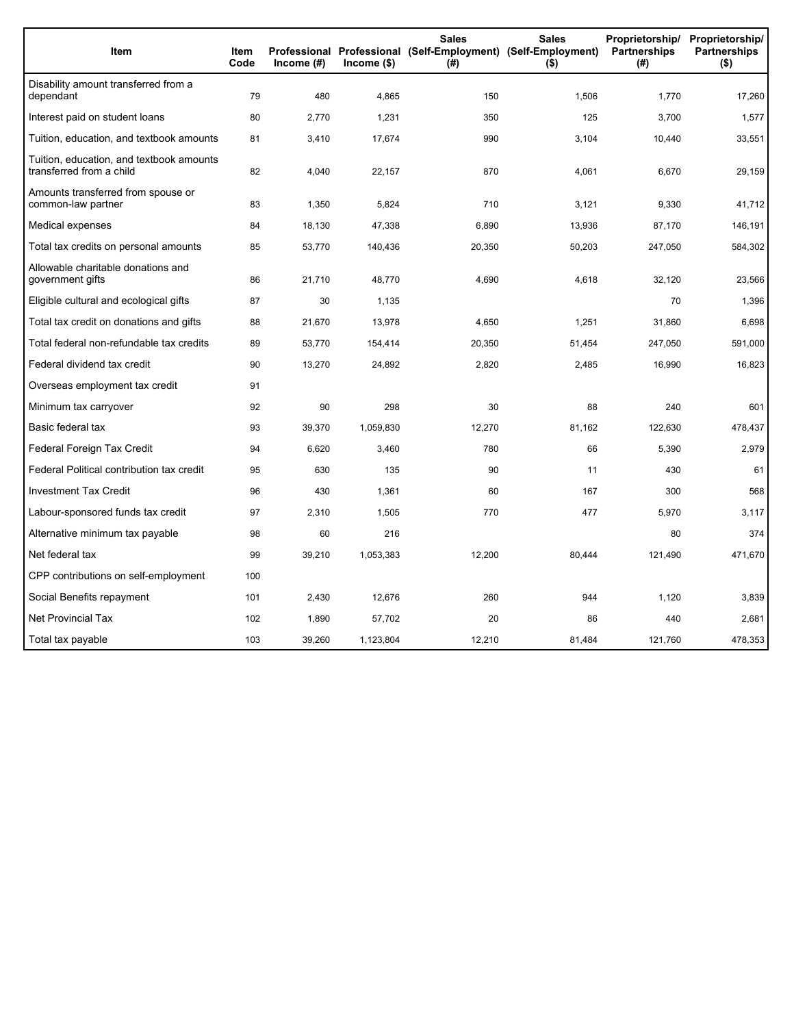| Item                                                                 | Item<br>Code | Income $(\#)$ | Income (\$) | <b>Sales</b><br>(#) | <b>Sales</b><br>Proprietorship/<br>Professional Professional (Self-Employment) (Self-Employment)<br><b>Partnerships</b><br>$($ \$) |         | Proprietorship/<br><b>Partnerships</b><br>$($ \$) |
|----------------------------------------------------------------------|--------------|---------------|-------------|---------------------|------------------------------------------------------------------------------------------------------------------------------------|---------|---------------------------------------------------|
| Disability amount transferred from a<br>dependant                    | 79           | 480           | 4,865       | 150                 | 1,506                                                                                                                              | 1,770   | 17,260                                            |
| Interest paid on student loans                                       | 80           | 2,770         | 1,231       | 350                 | 125                                                                                                                                | 3,700   | 1,577                                             |
| Tuition, education, and textbook amounts                             | 81           | 3,410         | 17,674      | 990                 | 3,104                                                                                                                              | 10,440  | 33,551                                            |
| Tuition, education, and textbook amounts<br>transferred from a child | 82           | 4,040         | 22,157      | 870                 | 4,061                                                                                                                              | 6.670   | 29,159                                            |
| Amounts transferred from spouse or<br>common-law partner             | 83           | 1,350         | 5,824       | 710                 | 3,121                                                                                                                              | 9,330   | 41,712                                            |
| Medical expenses                                                     | 84           | 18,130        | 47,338      | 6,890               | 13,936                                                                                                                             | 87,170  | 146,191                                           |
| Total tax credits on personal amounts                                | 85           | 53,770        | 140,436     | 20,350              | 50,203                                                                                                                             | 247,050 | 584,302                                           |
| Allowable charitable donations and<br>government gifts               | 86           | 21,710        | 48,770      | 4,690               | 4,618                                                                                                                              | 32,120  | 23,566                                            |
| Eligible cultural and ecological gifts                               | 87           | 30            | 1,135       |                     |                                                                                                                                    | 70      | 1,396                                             |
| Total tax credit on donations and gifts                              | 88           | 21,670        | 13,978      | 4,650               | 1,251                                                                                                                              | 31,860  | 6,698                                             |
| Total federal non-refundable tax credits                             | 89           | 53,770        | 154,414     | 20,350              | 51,454                                                                                                                             | 247,050 | 591,000                                           |
| Federal dividend tax credit                                          | 90           | 13,270        | 24,892      | 2,820               | 2,485                                                                                                                              | 16,990  | 16,823                                            |
| Overseas employment tax credit                                       | 91           |               |             |                     |                                                                                                                                    |         |                                                   |
| Minimum tax carryover                                                | 92           | 90            | 298         | 30                  | 88                                                                                                                                 | 240     | 601                                               |
| Basic federal tax                                                    | 93           | 39,370        | 1,059,830   | 12,270              | 81,162                                                                                                                             | 122,630 | 478,437                                           |
| Federal Foreign Tax Credit                                           | 94           | 6,620         | 3,460       | 780                 | 66                                                                                                                                 | 5,390   | 2,979                                             |
| Federal Political contribution tax credit                            | 95           | 630           | 135         | 90                  | 11                                                                                                                                 | 430     | 61                                                |
| <b>Investment Tax Credit</b>                                         | 96           | 430           | 1,361       | 60                  | 167                                                                                                                                | 300     | 568                                               |
| Labour-sponsored funds tax credit                                    | 97           | 2,310         | 1,505       | 770                 | 477                                                                                                                                | 5,970   | 3,117                                             |
| Alternative minimum tax payable                                      | 98           | 60            | 216         |                     |                                                                                                                                    | 80      | 374                                               |
| Net federal tax                                                      | 99           | 39,210        | 1,053,383   | 12,200              | 80,444                                                                                                                             | 121,490 | 471,670                                           |
| CPP contributions on self-employment                                 | 100          |               |             |                     |                                                                                                                                    |         |                                                   |
| Social Benefits repayment                                            | 101          | 2,430         | 12,676      | 260                 | 944                                                                                                                                | 1,120   | 3,839                                             |
| <b>Net Provincial Tax</b>                                            | 102          | 1,890         | 57,702      | 20                  | 86                                                                                                                                 | 440     | 2,681                                             |
| Total tax payable                                                    | 103          | 39,260        | 1,123,804   | 12,210              | 81,484                                                                                                                             | 121,760 | 478,353                                           |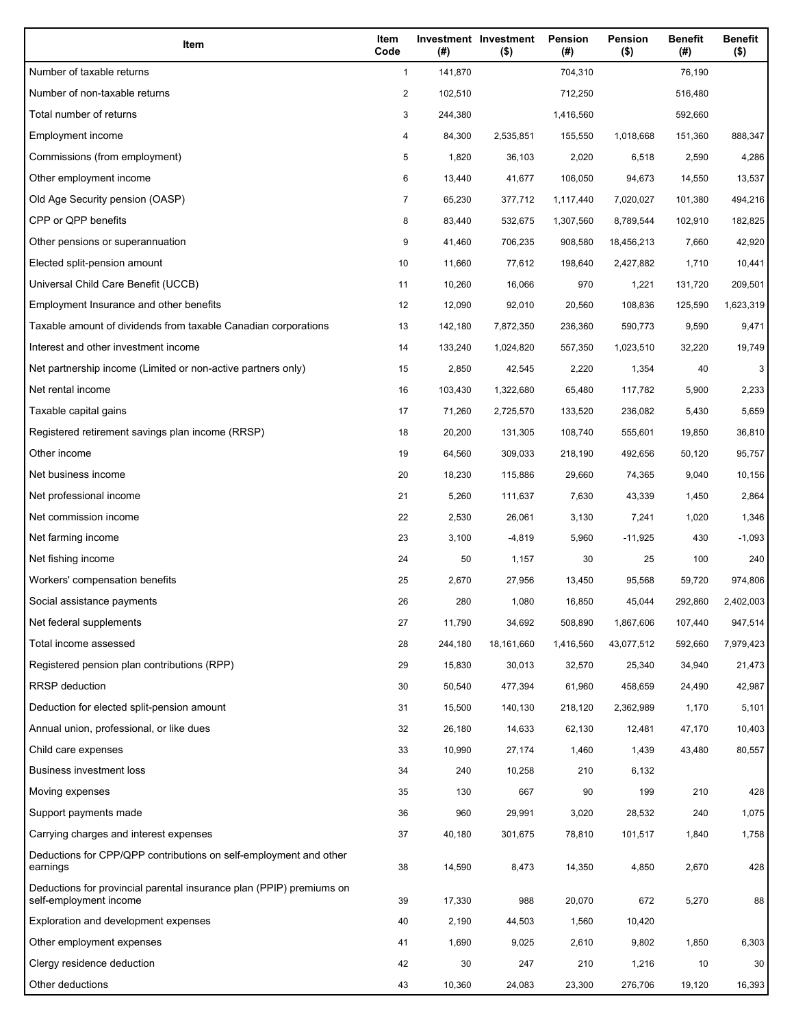| Item                                                                                           | Item<br>Code | (#)     | Investment Investment<br>$($ \$) | Pension<br>(#) | Pension<br>$($ \$) | <b>Benefit</b><br>(#) | <b>Benefit</b><br>$($ \$) |
|------------------------------------------------------------------------------------------------|--------------|---------|----------------------------------|----------------|--------------------|-----------------------|---------------------------|
| Number of taxable returns                                                                      | $\mathbf{1}$ | 141,870 |                                  | 704,310        |                    | 76,190                |                           |
| Number of non-taxable returns                                                                  | 2            | 102,510 |                                  | 712,250        |                    | 516,480               |                           |
| Total number of returns                                                                        | 3            | 244,380 |                                  | 1,416,560      |                    | 592,660               |                           |
| Employment income                                                                              | 4            | 84,300  | 2,535,851                        | 155,550        | 1,018,668          | 151,360               | 888,347                   |
| Commissions (from employment)                                                                  | 5            | 1,820   | 36,103                           | 2,020          | 6,518              | 2,590                 | 4,286                     |
| Other employment income                                                                        | 6            | 13,440  | 41,677                           | 106,050        | 94,673             | 14,550                | 13,537                    |
| Old Age Security pension (OASP)                                                                | 7            | 65,230  | 377,712                          | 1,117,440      | 7,020,027          | 101,380               | 494,216                   |
| CPP or QPP benefits                                                                            | 8            | 83,440  | 532,675                          | 1,307,560      | 8,789,544          | 102,910               | 182,825                   |
| Other pensions or superannuation                                                               | 9            | 41,460  | 706,235                          | 908,580        | 18,456,213         | 7,660                 | 42,920                    |
| Elected split-pension amount                                                                   | 10           | 11,660  | 77,612                           | 198,640        | 2,427,882          | 1,710                 | 10,441                    |
| Universal Child Care Benefit (UCCB)                                                            | 11           | 10,260  | 16,066                           | 970            | 1,221              | 131,720               | 209,501                   |
| Employment Insurance and other benefits                                                        | 12           | 12,090  | 92,010                           | 20,560         | 108,836            | 125,590               | 1,623,319                 |
| Taxable amount of dividends from taxable Canadian corporations                                 | 13           | 142,180 | 7,872,350                        | 236,360        | 590,773            | 9,590                 | 9,471                     |
| Interest and other investment income                                                           | 14           | 133,240 | 1,024,820                        | 557,350        | 1,023,510          | 32,220                | 19,749                    |
| Net partnership income (Limited or non-active partners only)                                   | 15           | 2,850   | 42,545                           | 2,220          | 1,354              | 40                    | 3                         |
| Net rental income                                                                              | 16           | 103,430 | 1,322,680                        | 65,480         | 117,782            | 5,900                 | 2,233                     |
| Taxable capital gains                                                                          | 17           | 71,260  | 2,725,570                        | 133,520        | 236,082            | 5,430                 | 5,659                     |
| Registered retirement savings plan income (RRSP)                                               | 18           | 20,200  | 131,305                          | 108,740        | 555,601            | 19,850                | 36,810                    |
| Other income                                                                                   | 19           | 64,560  | 309,033                          | 218,190        | 492,656            | 50,120                | 95,757                    |
| Net business income                                                                            | 20           | 18,230  | 115,886                          | 29,660         | 74,365             | 9,040                 | 10,156                    |
| Net professional income                                                                        | 21           | 5,260   | 111,637                          | 7,630          | 43,339             | 1,450                 | 2,864                     |
| Net commission income                                                                          | 22           | 2,530   | 26,061                           | 3,130          | 7,241              | 1,020                 | 1,346                     |
| Net farming income                                                                             | 23           | 3,100   | $-4,819$                         | 5,960          | $-11,925$          | 430                   | $-1,093$                  |
| Net fishing income                                                                             | 24           | 50      | 1,157                            | 30             | 25                 | 100                   | 240                       |
| Workers' compensation benefits                                                                 | 25           | 2,670   | 27,956                           | 13,450         | 95,568             | 59,720                | 974,806                   |
| Social assistance payments                                                                     | 26           | 280     | 1,080                            | 16,850         | 45,044             | 292,860               | 2,402,003                 |
| Net federal supplements                                                                        | 27           | 11,790  | 34,692                           | 508,890        | 1,867,606          | 107,440               | 947,514                   |
| Total income assessed                                                                          | 28           | 244,180 | 18,161,660                       | 1,416,560      | 43,077,512         | 592,660               | 7,979,423                 |
| Registered pension plan contributions (RPP)                                                    | 29           | 15,830  | 30,013                           | 32,570         | 25,340             | 34,940                | 21,473                    |
| <b>RRSP</b> deduction                                                                          | 30           | 50,540  | 477,394                          | 61,960         | 458,659            | 24,490                | 42,987                    |
| Deduction for elected split-pension amount                                                     | 31           | 15,500  | 140,130                          | 218,120        | 2,362,989          | 1,170                 | 5,101                     |
| Annual union, professional, or like dues                                                       | 32           | 26,180  | 14,633                           | 62,130         | 12,481             | 47,170                | 10,403                    |
| Child care expenses                                                                            | 33           | 10,990  | 27,174                           | 1,460          | 1,439              | 43,480                | 80,557                    |
| Business investment loss                                                                       | 34           | 240     | 10,258                           | 210            | 6,132              |                       |                           |
| Moving expenses                                                                                | 35           | 130     | 667                              | 90             | 199                | 210                   | 428                       |
| Support payments made                                                                          | 36           | 960     | 29,991                           | 3,020          | 28,532             | 240                   | 1,075                     |
| Carrying charges and interest expenses                                                         | 37           | 40,180  | 301,675                          | 78,810         | 101,517            | 1,840                 | 1,758                     |
| Deductions for CPP/QPP contributions on self-employment and other<br>earnings                  | 38           | 14,590  | 8,473                            | 14,350         | 4,850              | 2,670                 | 428                       |
| Deductions for provincial parental insurance plan (PPIP) premiums on<br>self-employment income | 39           | 17,330  | 988                              | 20,070         | 672                | 5,270                 | 88                        |
| Exploration and development expenses                                                           | 40           | 2,190   | 44,503                           | 1,560          | 10,420             |                       |                           |
| Other employment expenses                                                                      | 41           | 1,690   | 9,025                            | 2,610          | 9,802              | 1,850                 | 6,303                     |
| Clergy residence deduction                                                                     | 42           | 30      | 247                              | 210            | 1,216              | 10                    | 30                        |
| Other deductions                                                                               | 43           | 10,360  | 24,083                           | 23,300         | 276,706            | 19,120                | 16,393                    |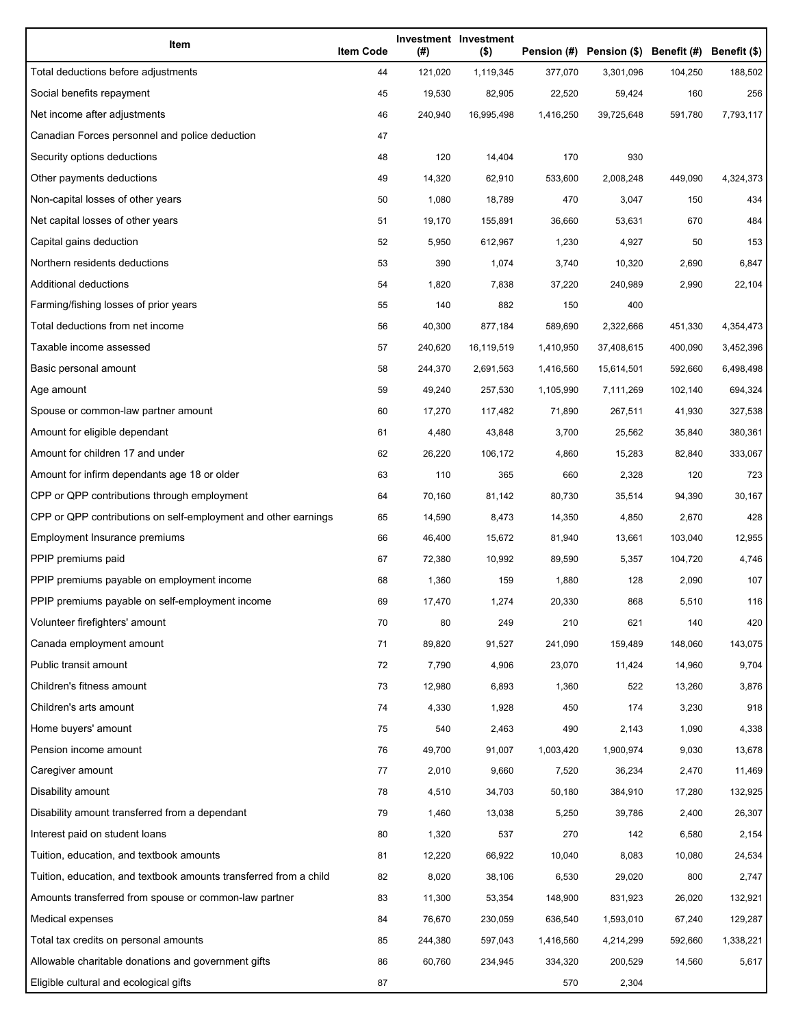| Item                                                              | <b>Item Code</b> | (#)     | Investment Investment<br>$($ \$) |           | Pension (#) Pension (\$) Benefit (#) Benefit (\$) |         |           |
|-------------------------------------------------------------------|------------------|---------|----------------------------------|-----------|---------------------------------------------------|---------|-----------|
| Total deductions before adjustments                               | 44               | 121,020 | 1,119,345                        | 377,070   | 3,301,096                                         | 104,250 | 188,502   |
| Social benefits repayment                                         | 45               | 19,530  | 82,905                           | 22,520    | 59,424                                            | 160     | 256       |
| Net income after adjustments                                      | 46               | 240,940 | 16,995,498                       | 1,416,250 | 39,725,648                                        | 591,780 | 7,793,117 |
| Canadian Forces personnel and police deduction                    | 47               |         |                                  |           |                                                   |         |           |
| Security options deductions                                       | 48               | 120     | 14,404                           | 170       | 930                                               |         |           |
| Other payments deductions                                         | 49               | 14,320  | 62,910                           | 533,600   | 2,008,248                                         | 449,090 | 4,324,373 |
| Non-capital losses of other years                                 | 50               | 1,080   | 18,789                           | 470       | 3,047                                             | 150     | 434       |
| Net capital losses of other years                                 | 51               | 19,170  | 155,891                          | 36,660    | 53,631                                            | 670     | 484       |
| Capital gains deduction                                           | 52               | 5,950   | 612,967                          | 1,230     | 4,927                                             | 50      | 153       |
| Northern residents deductions                                     | 53               | 390     | 1,074                            | 3,740     | 10,320                                            | 2,690   | 6,847     |
| Additional deductions                                             | 54               | 1,820   | 7,838                            | 37,220    | 240,989                                           | 2,990   | 22,104    |
| Farming/fishing losses of prior years                             | 55               | 140     | 882                              | 150       | 400                                               |         |           |
| Total deductions from net income                                  | 56               | 40,300  | 877,184                          | 589,690   | 2,322,666                                         | 451,330 | 4,354,473 |
| Taxable income assessed                                           | 57               | 240,620 | 16,119,519                       | 1,410,950 | 37,408,615                                        | 400,090 | 3,452,396 |
| Basic personal amount                                             | 58               | 244,370 | 2,691,563                        | 1,416,560 | 15,614,501                                        | 592,660 | 6,498,498 |
| Age amount                                                        | 59               | 49,240  | 257,530                          | 1,105,990 | 7,111,269                                         | 102,140 | 694,324   |
| Spouse or common-law partner amount                               | 60               | 17,270  | 117,482                          | 71,890    | 267,511                                           | 41,930  | 327,538   |
| Amount for eligible dependant                                     | 61               | 4,480   | 43,848                           | 3,700     | 25,562                                            | 35,840  | 380,361   |
| Amount for children 17 and under                                  | 62               | 26,220  | 106,172                          | 4,860     | 15,283                                            | 82,840  | 333,067   |
| Amount for infirm dependants age 18 or older                      | 63               | 110     | 365                              | 660       | 2,328                                             | 120     | 723       |
| CPP or QPP contributions through employment                       | 64               | 70,160  | 81,142                           | 80,730    | 35,514                                            | 94,390  | 30,167    |
| CPP or QPP contributions on self-employment and other earnings    | 65               | 14,590  | 8,473                            | 14,350    | 4,850                                             | 2,670   | 428       |
| Employment Insurance premiums                                     | 66               | 46,400  | 15,672                           | 81,940    | 13,661                                            | 103,040 | 12,955    |
| PPIP premiums paid                                                | 67               | 72,380  | 10,992                           | 89,590    | 5,357                                             | 104,720 | 4,746     |
| PPIP premiums payable on employment income                        | 68               | 1,360   | 159                              | 1,880     | 128                                               | 2,090   | 107       |
| PPIP premiums payable on self-employment income                   | 69               | 17,470  | 1,274                            | 20,330    | 868                                               | 5,510   | 116       |
| Volunteer firefighters' amount                                    | 70               | 80      | 249                              | 210       | 621                                               | 140     | 420       |
| Canada employment amount                                          | 71               | 89,820  | 91,527                           | 241,090   | 159,489                                           | 148,060 | 143,075   |
| Public transit amount                                             | 72               | 7,790   | 4,906                            | 23,070    | 11,424                                            | 14,960  | 9,704     |
| Children's fitness amount                                         | 73               | 12,980  | 6,893                            | 1,360     | 522                                               | 13,260  | 3,876     |
| Children's arts amount                                            | 74               | 4,330   | 1,928                            | 450       | 174                                               | 3,230   | 918       |
| Home buyers' amount                                               | 75               | 540     | 2,463                            | 490       | 2,143                                             | 1,090   | 4,338     |
| Pension income amount                                             | 76               | 49,700  | 91,007                           | 1,003,420 | 1,900,974                                         | 9,030   | 13,678    |
| Caregiver amount                                                  | 77               | 2,010   | 9,660                            | 7,520     | 36,234                                            | 2,470   | 11,469    |
| Disability amount                                                 | 78               | 4,510   | 34,703                           | 50,180    | 384,910                                           | 17,280  | 132,925   |
| Disability amount transferred from a dependant                    | 79               | 1,460   | 13,038                           | 5,250     | 39,786                                            | 2,400   | 26,307    |
| Interest paid on student loans                                    | 80               | 1,320   | 537                              | 270       | 142                                               | 6,580   | 2,154     |
| Tuition, education, and textbook amounts                          | 81               | 12,220  | 66,922                           | 10,040    | 8,083                                             | 10,080  | 24,534    |
| Tuition, education, and textbook amounts transferred from a child | 82               | 8,020   | 38,106                           | 6,530     | 29,020                                            | 800     | 2,747     |
| Amounts transferred from spouse or common-law partner             | 83               | 11,300  | 53,354                           | 148,900   | 831,923                                           | 26,020  | 132,921   |
| Medical expenses                                                  | 84               | 76,670  | 230,059                          | 636,540   | 1,593,010                                         | 67,240  | 129,287   |
| Total tax credits on personal amounts                             | 85               | 244,380 | 597,043                          | 1,416,560 | 4,214,299                                         | 592,660 | 1,338,221 |
| Allowable charitable donations and government gifts               | 86               | 60,760  | 234,945                          | 334,320   | 200,529                                           | 14,560  | 5,617     |
| Eligible cultural and ecological gifts                            | 87               |         |                                  | 570       | 2,304                                             |         |           |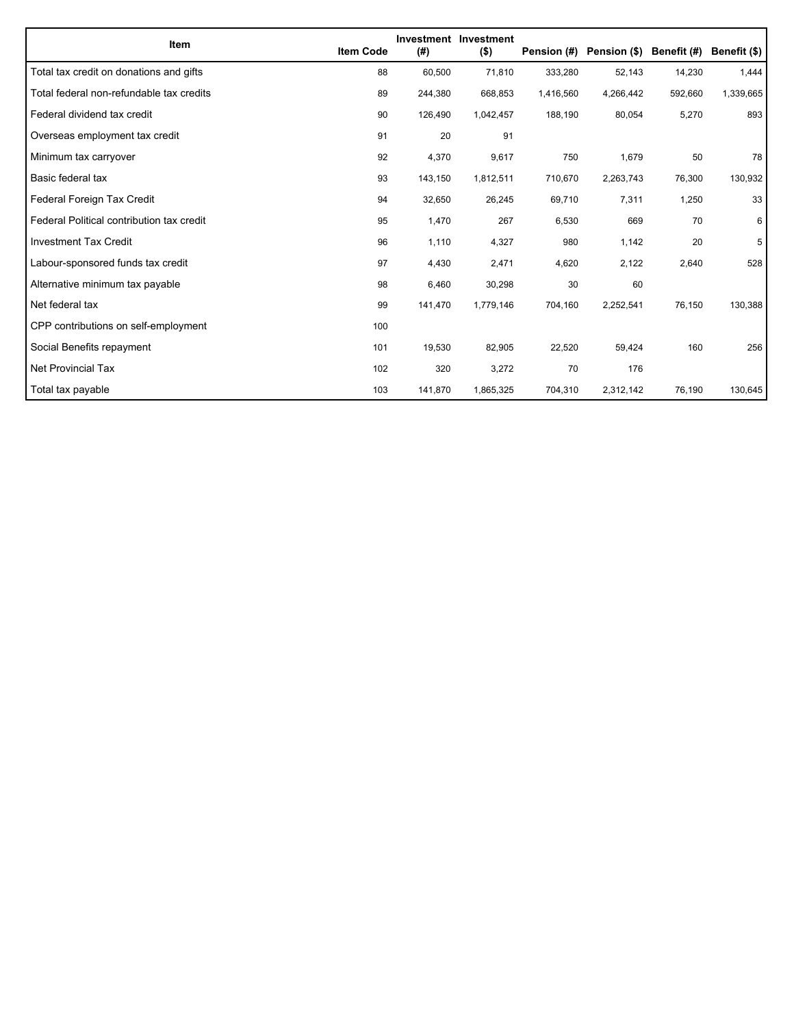| Item                                      | <b>Item Code</b> | (#)     | Investment Investment<br>$($ \$) | Pension (#) | Pension (\$) | Benefit (#) | Benefit (\$) |
|-------------------------------------------|------------------|---------|----------------------------------|-------------|--------------|-------------|--------------|
| Total tax credit on donations and gifts   | 88               | 60,500  | 71,810                           | 333,280     | 52,143       | 14,230      | 1,444        |
| Total federal non-refundable tax credits  | 89               | 244,380 | 668,853                          | 1,416,560   | 4,266,442    | 592,660     | 1,339,665    |
| Federal dividend tax credit               | 90               | 126,490 | 1,042,457                        | 188,190     | 80,054       | 5,270       | 893          |
| Overseas employment tax credit            | 91               | 20      | 91                               |             |              |             |              |
| Minimum tax carryover                     | 92               | 4,370   | 9,617                            | 750         | 1,679        | 50          | 78           |
| Basic federal tax                         | 93               | 143,150 | 1,812,511                        | 710,670     | 2,263,743    | 76,300      | 130,932      |
| Federal Foreign Tax Credit                | 94               | 32,650  | 26,245                           | 69,710      | 7,311        | 1,250       | 33           |
| Federal Political contribution tax credit | 95               | 1,470   | 267                              | 6,530       | 669          | 70          | 6            |
| <b>Investment Tax Credit</b>              | 96               | 1,110   | 4,327                            | 980         | 1,142        | 20          | 5            |
| Labour-sponsored funds tax credit         | 97               | 4,430   | 2,471                            | 4,620       | 2,122        | 2,640       | 528          |
| Alternative minimum tax payable           | 98               | 6,460   | 30,298                           | 30          | 60           |             |              |
| Net federal tax                           | 99               | 141,470 | 1,779,146                        | 704,160     | 2,252,541    | 76,150      | 130,388      |
| CPP contributions on self-employment      | 100              |         |                                  |             |              |             |              |
| Social Benefits repayment                 | 101              | 19,530  | 82,905                           | 22,520      | 59,424       | 160         | 256          |
| <b>Net Provincial Tax</b>                 | 102              | 320     | 3,272                            | 70          | 176          |             |              |
| Total tax payable                         | 103              | 141,870 | 1,865,325                        | 704,310     | 2,312,142    | 76,190      | 130,645      |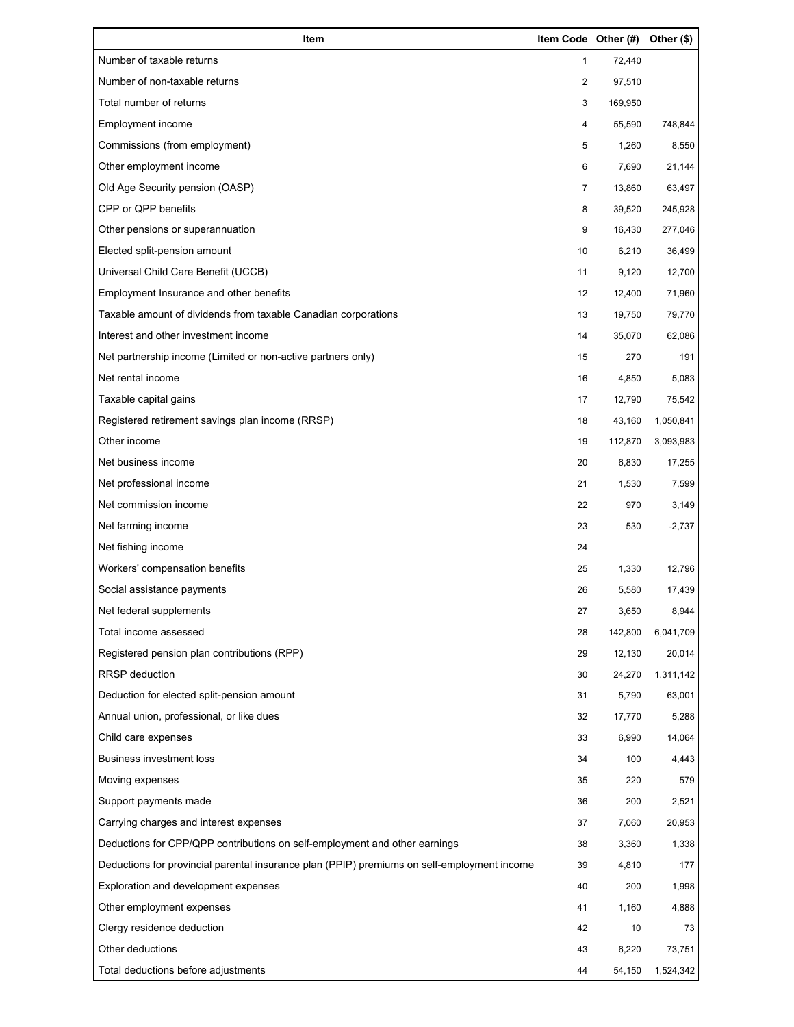| Item                                                                                        | Item Code Other (#) |         | Other (\$) |
|---------------------------------------------------------------------------------------------|---------------------|---------|------------|
| Number of taxable returns                                                                   | 1                   | 72,440  |            |
| Number of non-taxable returns                                                               | $\overline{c}$      | 97,510  |            |
| Total number of returns                                                                     | 3                   | 169,950 |            |
| Employment income                                                                           | 4                   | 55,590  | 748,844    |
| Commissions (from employment)                                                               | 5                   | 1,260   | 8,550      |
| Other employment income                                                                     | 6                   | 7,690   | 21,144     |
| Old Age Security pension (OASP)                                                             | 7                   | 13,860  | 63,497     |
| CPP or QPP benefits                                                                         | 8                   | 39,520  | 245,928    |
| Other pensions or superannuation                                                            | 9                   | 16,430  | 277,046    |
| Elected split-pension amount                                                                | 10                  | 6,210   | 36,499     |
| Universal Child Care Benefit (UCCB)                                                         | 11                  | 9,120   | 12,700     |
| Employment Insurance and other benefits                                                     | 12                  | 12,400  | 71,960     |
| Taxable amount of dividends from taxable Canadian corporations                              | 13                  | 19,750  | 79,770     |
| Interest and other investment income                                                        | 14                  | 35,070  | 62,086     |
| Net partnership income (Limited or non-active partners only)                                | 15                  | 270     | 191        |
| Net rental income                                                                           | 16                  | 4,850   | 5,083      |
| Taxable capital gains                                                                       | 17                  | 12,790  | 75,542     |
| Registered retirement savings plan income (RRSP)                                            | 18                  | 43,160  | 1,050,841  |
| Other income                                                                                | 19                  | 112,870 | 3,093,983  |
| Net business income                                                                         | 20                  | 6,830   | 17,255     |
| Net professional income                                                                     | 21                  | 1,530   | 7,599      |
| Net commission income                                                                       | 22                  | 970     | 3,149      |
| Net farming income                                                                          | 23                  | 530     | $-2,737$   |
| Net fishing income                                                                          | 24                  |         |            |
| Workers' compensation benefits                                                              | 25                  | 1,330   | 12,796     |
| Social assistance payments                                                                  | 26                  | 5,580   | 17,439     |
| Net federal supplements                                                                     | 27                  | 3,650   | 8,944      |
| Total income assessed                                                                       | 28                  | 142,800 | 6,041,709  |
| Registered pension plan contributions (RPP)                                                 | 29                  | 12,130  | 20,014     |
| <b>RRSP</b> deduction                                                                       | 30                  | 24,270  | 1,311,142  |
| Deduction for elected split-pension amount                                                  | 31                  | 5,790   | 63,001     |
| Annual union, professional, or like dues                                                    | 32                  | 17,770  | 5,288      |
| Child care expenses                                                                         | 33                  | 6,990   | 14,064     |
| <b>Business investment loss</b>                                                             | 34                  | 100     | 4,443      |
| Moving expenses                                                                             | 35                  | 220     | 579        |
| Support payments made                                                                       | 36                  | 200     | 2,521      |
| Carrying charges and interest expenses                                                      | 37                  | 7,060   | 20,953     |
| Deductions for CPP/QPP contributions on self-employment and other earnings                  | 38                  | 3,360   | 1,338      |
| Deductions for provincial parental insurance plan (PPIP) premiums on self-employment income | 39                  | 4,810   | 177        |
| Exploration and development expenses                                                        | 40                  | 200     | 1,998      |
| Other employment expenses                                                                   | 41                  | 1,160   | 4,888      |
| Clergy residence deduction                                                                  | 42                  | 10      | 73         |
| Other deductions                                                                            | 43                  | 6,220   | 73,751     |
| Total deductions before adjustments                                                         | 44                  | 54,150  | 1,524,342  |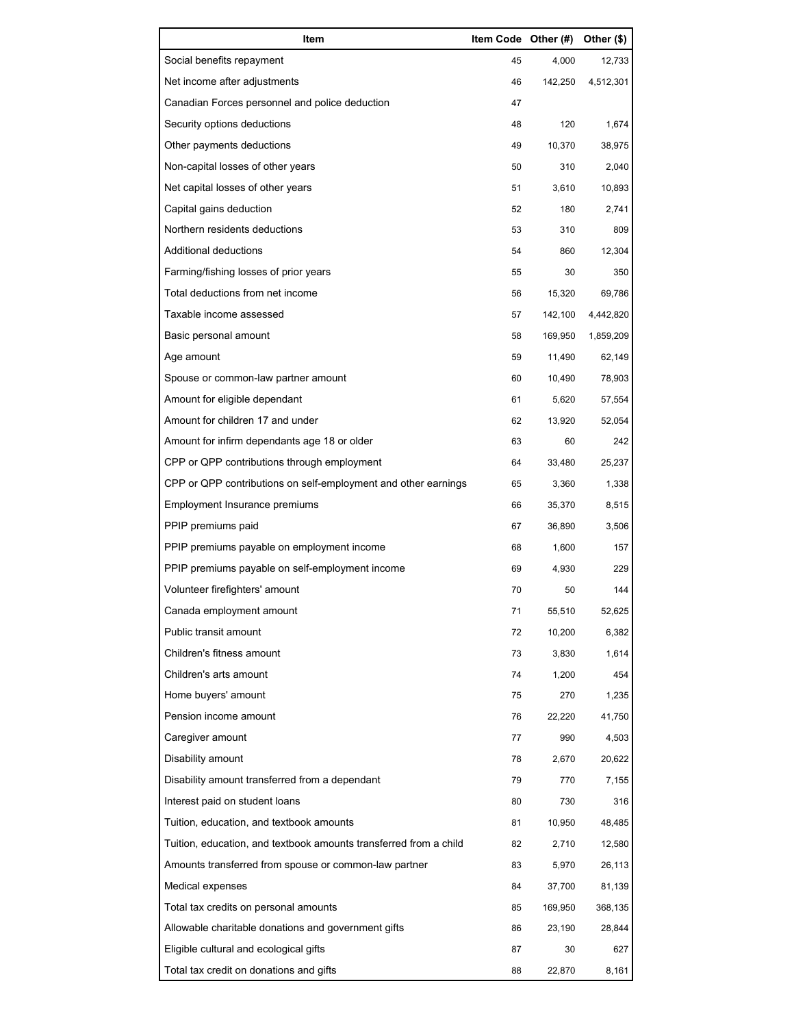| Item                                                              |    | Item Code Other (#) | Other (\$) |
|-------------------------------------------------------------------|----|---------------------|------------|
| Social benefits repayment                                         | 45 | 4,000               | 12,733     |
| Net income after adjustments                                      | 46 | 142,250             | 4,512,301  |
| Canadian Forces personnel and police deduction                    | 47 |                     |            |
| Security options deductions                                       | 48 | 120                 | 1,674      |
| Other payments deductions                                         | 49 | 10,370              | 38,975     |
| Non-capital losses of other years                                 | 50 | 310                 | 2,040      |
| Net capital losses of other years                                 | 51 | 3,610               | 10,893     |
| Capital gains deduction                                           | 52 | 180                 | 2,741      |
| Northern residents deductions                                     | 53 | 310                 | 809        |
| Additional deductions                                             | 54 | 860                 | 12,304     |
| Farming/fishing losses of prior years                             | 55 | 30                  | 350        |
| Total deductions from net income                                  | 56 | 15,320              | 69,786     |
| Taxable income assessed                                           | 57 | 142,100             | 4,442,820  |
| Basic personal amount                                             | 58 | 169,950             | 1,859,209  |
| Age amount                                                        | 59 | 11,490              | 62,149     |
| Spouse or common-law partner amount                               | 60 | 10,490              | 78,903     |
| Amount for eligible dependant                                     | 61 | 5,620               | 57,554     |
| Amount for children 17 and under                                  | 62 | 13,920              | 52,054     |
| Amount for infirm dependants age 18 or older                      | 63 | 60                  | 242        |
| CPP or QPP contributions through employment                       | 64 | 33,480              | 25,237     |
| CPP or QPP contributions on self-employment and other earnings    | 65 | 3,360               | 1,338      |
| Employment Insurance premiums                                     | 66 | 35,370              | 8,515      |
| PPIP premiums paid                                                | 67 | 36,890              | 3,506      |
| PPIP premiums payable on employment income                        | 68 | 1,600               | 157        |
| PPIP premiums payable on self-employment income                   | 69 | 4,930               | 229        |
| Volunteer firefighters' amount                                    | 70 | 50                  | 144        |
| Canada employment amount                                          | 71 | 55,510              | 52,625     |
| Public transit amount                                             | 72 | 10,200              | 6,382      |
| Children's fitness amount                                         | 73 | 3,830               | 1,614      |
| Children's arts amount                                            | 74 | 1,200               | 454        |
| Home buyers' amount                                               | 75 | 270                 | 1,235      |
| Pension income amount                                             | 76 | 22,220              | 41,750     |
| Caregiver amount                                                  | 77 | 990                 | 4,503      |
| Disability amount                                                 | 78 | 2,670               | 20,622     |
| Disability amount transferred from a dependant                    | 79 | 770                 | 7,155      |
| Interest paid on student loans                                    | 80 | 730                 | 316        |
| Tuition, education, and textbook amounts                          | 81 | 10,950              | 48,485     |
| Tuition, education, and textbook amounts transferred from a child | 82 | 2,710               | 12,580     |
| Amounts transferred from spouse or common-law partner             | 83 | 5,970               | 26,113     |
| Medical expenses                                                  | 84 | 37,700              | 81,139     |
| Total tax credits on personal amounts                             | 85 | 169,950             | 368,135    |
| Allowable charitable donations and government gifts               | 86 | 23,190              | 28,844     |
| Eligible cultural and ecological gifts                            | 87 | 30                  | 627        |
| Total tax credit on donations and gifts                           | 88 | 22,870              | 8,161      |